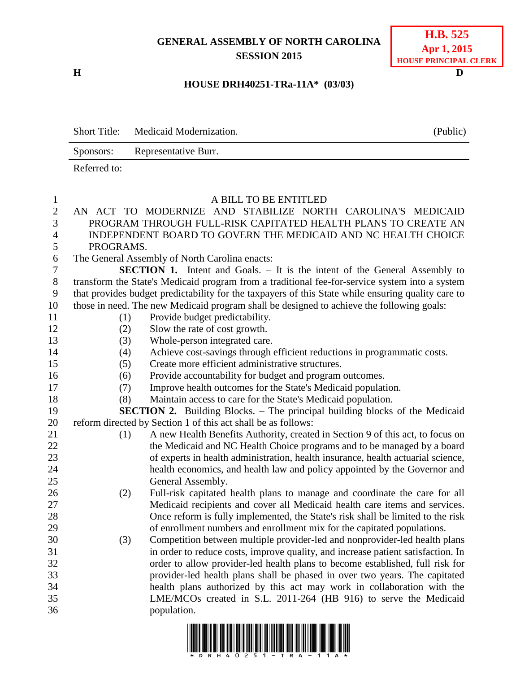## **GENERAL ASSEMBLY OF NORTH CAROLINA SESSION 2015**

**H D**

| <b>H.B.</b> 525       |
|-----------------------|
| Apr 1, 2015           |
| HOUSE PRINCIPAL CLERK |

### **HOUSE DRH40251-TRa-11A\* (03/03)**

|              | Short Title: Medicaid Modernization. | (Public) |
|--------------|--------------------------------------|----------|
|              | Sponsors: Representative Burr.       |          |
| Referred to: |                                      |          |

| $\mathbf{1}$     |           | A BILL TO BE ENTITLED                                                                                                                      |
|------------------|-----------|--------------------------------------------------------------------------------------------------------------------------------------------|
| $\mathbf{2}$     |           | AN ACT TO MODERNIZE AND STABILIZE NORTH CAROLINA'S MEDICAID                                                                                |
| 3                |           | PROGRAM THROUGH FULL-RISK CAPITATED HEALTH PLANS TO CREATE AN                                                                              |
| $\overline{4}$   |           | INDEPENDENT BOARD TO GOVERN THE MEDICAID AND NC HEALTH CHOICE                                                                              |
| 5                | PROGRAMS. |                                                                                                                                            |
| $\boldsymbol{6}$ |           | The General Assembly of North Carolina enacts:                                                                                             |
| $\overline{7}$   |           | <b>SECTION 1.</b> Intent and Goals. – It is the intent of the General Assembly to                                                          |
| $8\,$            |           | transform the State's Medicaid program from a traditional fee-for-service system into a system                                             |
| 9                |           | that provides budget predictability for the taxpayers of this State while ensuring quality care to                                         |
| 10               |           | those in need. The new Medicaid program shall be designed to achieve the following goals:                                                  |
| 11               | (1)       | Provide budget predictability.                                                                                                             |
| 12               | (2)       | Slow the rate of cost growth.                                                                                                              |
| 13               | (3)       | Whole-person integrated care.                                                                                                              |
| 14               | (4)       | Achieve cost-savings through efficient reductions in programmatic costs.                                                                   |
| 15               | (5)       | Create more efficient administrative structures.                                                                                           |
| 16               | (6)       | Provide accountability for budget and program outcomes.                                                                                    |
| 17               | (7)       | Improve health outcomes for the State's Medicaid population.                                                                               |
| 18               | (8)       | Maintain access to care for the State's Medicaid population.                                                                               |
| 19               |           | <b>SECTION 2.</b> Building Blocks. – The principal building blocks of the Medicaid                                                         |
| 20               |           | reform directed by Section 1 of this act shall be as follows:                                                                              |
| 21               | (1)       | A new Health Benefits Authority, created in Section 9 of this act, to focus on                                                             |
| 22               |           | the Medicaid and NC Health Choice programs and to be managed by a board                                                                    |
| 23               |           | of experts in health administration, health insurance, health actuarial science,                                                           |
| 24               |           | health economics, and health law and policy appointed by the Governor and                                                                  |
| 25               |           | General Assembly.                                                                                                                          |
| 26               | (2)       | Full-risk capitated health plans to manage and coordinate the care for all                                                                 |
| 27               |           | Medicaid recipients and cover all Medicaid health care items and services.                                                                 |
| 28               |           | Once reform is fully implemented, the State's risk shall be limited to the risk                                                            |
| 29               |           | of enrollment numbers and enrollment mix for the capitated populations.                                                                    |
| 30               | (3)       | Competition between multiple provider-led and nonprovider-led health plans                                                                 |
| 31               |           | in order to reduce costs, improve quality, and increase patient satisfaction. In                                                           |
| 32               |           | order to allow provider-led health plans to become established, full risk for                                                              |
| 33               |           | provider-led health plans shall be phased in over two years. The capitated                                                                 |
| 34<br>35         |           | health plans authorized by this act may work in collaboration with the<br>LME/MCOs created in S.L. 2011-264 (HB 916) to serve the Medicaid |
| 36               |           | population.                                                                                                                                |
|                  |           |                                                                                                                                            |
|                  |           |                                                                                                                                            |

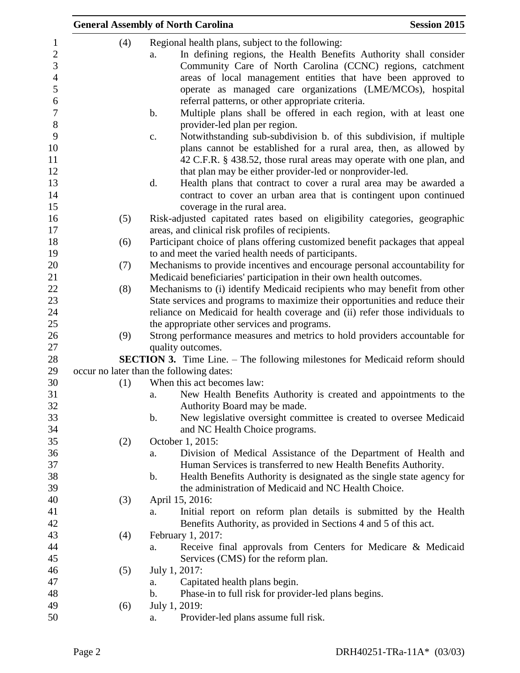|     | <b>General Assembly of North Carolina</b>                                                                                                                                                                                                                                                                                                                                                                                                                                                                                                                                                                                                                                                                                                                                                                                                                                                                                                  | <b>Session 2015</b> |
|-----|--------------------------------------------------------------------------------------------------------------------------------------------------------------------------------------------------------------------------------------------------------------------------------------------------------------------------------------------------------------------------------------------------------------------------------------------------------------------------------------------------------------------------------------------------------------------------------------------------------------------------------------------------------------------------------------------------------------------------------------------------------------------------------------------------------------------------------------------------------------------------------------------------------------------------------------------|---------------------|
| (4) | Regional health plans, subject to the following:<br>In defining regions, the Health Benefits Authority shall consider<br>a.<br>Community Care of North Carolina (CCNC) regions, catchment<br>areas of local management entities that have been approved to<br>operate as managed care organizations (LME/MCOs), hospital<br>referral patterns, or other appropriate criteria.<br>Multiple plans shall be offered in each region, with at least one<br>$\mathbf b$ .<br>provider-led plan per region.<br>Notwithstanding sub-subdivision b. of this subdivision, if multiple<br>c.<br>plans cannot be established for a rural area, then, as allowed by<br>42 C.F.R. § 438.52, those rural areas may operate with one plan, and<br>that plan may be either provider-led or nonprovider-led.<br>d.<br>Health plans that contract to cover a rural area may be awarded a<br>contract to cover an urban area that is contingent upon continued |                     |
|     | coverage in the rural area.                                                                                                                                                                                                                                                                                                                                                                                                                                                                                                                                                                                                                                                                                                                                                                                                                                                                                                                |                     |
| (5) | Risk-adjusted capitated rates based on eligibility categories, geographic                                                                                                                                                                                                                                                                                                                                                                                                                                                                                                                                                                                                                                                                                                                                                                                                                                                                  |                     |
|     | areas, and clinical risk profiles of recipients.                                                                                                                                                                                                                                                                                                                                                                                                                                                                                                                                                                                                                                                                                                                                                                                                                                                                                           |                     |
| (6) | Participant choice of plans offering customized benefit packages that appeal                                                                                                                                                                                                                                                                                                                                                                                                                                                                                                                                                                                                                                                                                                                                                                                                                                                               |                     |
| (7) | to and meet the varied health needs of participants.<br>Mechanisms to provide incentives and encourage personal accountability for                                                                                                                                                                                                                                                                                                                                                                                                                                                                                                                                                                                                                                                                                                                                                                                                         |                     |
|     | Medicaid beneficiaries' participation in their own health outcomes.                                                                                                                                                                                                                                                                                                                                                                                                                                                                                                                                                                                                                                                                                                                                                                                                                                                                        |                     |
| (8) | Mechanisms to (i) identify Medicaid recipients who may benefit from other                                                                                                                                                                                                                                                                                                                                                                                                                                                                                                                                                                                                                                                                                                                                                                                                                                                                  |                     |
|     | State services and programs to maximize their opportunities and reduce their                                                                                                                                                                                                                                                                                                                                                                                                                                                                                                                                                                                                                                                                                                                                                                                                                                                               |                     |
|     | reliance on Medicaid for health coverage and (ii) refer those individuals to                                                                                                                                                                                                                                                                                                                                                                                                                                                                                                                                                                                                                                                                                                                                                                                                                                                               |                     |
|     | the appropriate other services and programs.                                                                                                                                                                                                                                                                                                                                                                                                                                                                                                                                                                                                                                                                                                                                                                                                                                                                                               |                     |
| (9) | Strong performance measures and metrics to hold providers accountable for                                                                                                                                                                                                                                                                                                                                                                                                                                                                                                                                                                                                                                                                                                                                                                                                                                                                  |                     |
|     | quality outcomes.                                                                                                                                                                                                                                                                                                                                                                                                                                                                                                                                                                                                                                                                                                                                                                                                                                                                                                                          |                     |
|     | <b>SECTION 3.</b> Time Line. – The following milestones for Medicaid reform should<br>occur no later than the following dates:                                                                                                                                                                                                                                                                                                                                                                                                                                                                                                                                                                                                                                                                                                                                                                                                             |                     |
| (1) | When this act becomes law:                                                                                                                                                                                                                                                                                                                                                                                                                                                                                                                                                                                                                                                                                                                                                                                                                                                                                                                 |                     |
|     | New Health Benefits Authority is created and appointments to the<br>a.                                                                                                                                                                                                                                                                                                                                                                                                                                                                                                                                                                                                                                                                                                                                                                                                                                                                     |                     |
|     | Authority Board may be made.                                                                                                                                                                                                                                                                                                                                                                                                                                                                                                                                                                                                                                                                                                                                                                                                                                                                                                               |                     |
|     | New legislative oversight committee is created to oversee Medicaid<br>$\mathbf b$ .                                                                                                                                                                                                                                                                                                                                                                                                                                                                                                                                                                                                                                                                                                                                                                                                                                                        |                     |
|     | and NC Health Choice programs.                                                                                                                                                                                                                                                                                                                                                                                                                                                                                                                                                                                                                                                                                                                                                                                                                                                                                                             |                     |
| (2) | October 1, 2015:                                                                                                                                                                                                                                                                                                                                                                                                                                                                                                                                                                                                                                                                                                                                                                                                                                                                                                                           |                     |
|     | Division of Medical Assistance of the Department of Health and<br>a.                                                                                                                                                                                                                                                                                                                                                                                                                                                                                                                                                                                                                                                                                                                                                                                                                                                                       |                     |
|     | Human Services is transferred to new Health Benefits Authority.<br>Health Benefits Authority is designated as the single state agency for<br>b.                                                                                                                                                                                                                                                                                                                                                                                                                                                                                                                                                                                                                                                                                                                                                                                            |                     |
|     | the administration of Medicaid and NC Health Choice.                                                                                                                                                                                                                                                                                                                                                                                                                                                                                                                                                                                                                                                                                                                                                                                                                                                                                       |                     |
| (3) | April 15, 2016:                                                                                                                                                                                                                                                                                                                                                                                                                                                                                                                                                                                                                                                                                                                                                                                                                                                                                                                            |                     |
|     | Initial report on reform plan details is submitted by the Health<br>a.                                                                                                                                                                                                                                                                                                                                                                                                                                                                                                                                                                                                                                                                                                                                                                                                                                                                     |                     |
|     | Benefits Authority, as provided in Sections 4 and 5 of this act.                                                                                                                                                                                                                                                                                                                                                                                                                                                                                                                                                                                                                                                                                                                                                                                                                                                                           |                     |
| (4) | February 1, 2017:                                                                                                                                                                                                                                                                                                                                                                                                                                                                                                                                                                                                                                                                                                                                                                                                                                                                                                                          |                     |
|     | Receive final approvals from Centers for Medicare & Medicaid<br>a.                                                                                                                                                                                                                                                                                                                                                                                                                                                                                                                                                                                                                                                                                                                                                                                                                                                                         |                     |
|     | Services (CMS) for the reform plan.                                                                                                                                                                                                                                                                                                                                                                                                                                                                                                                                                                                                                                                                                                                                                                                                                                                                                                        |                     |
| (5) | July 1, 2017:                                                                                                                                                                                                                                                                                                                                                                                                                                                                                                                                                                                                                                                                                                                                                                                                                                                                                                                              |                     |
|     | Capitated health plans begin.<br>a.<br>Phase-in to full risk for provider-led plans begins.<br>b.                                                                                                                                                                                                                                                                                                                                                                                                                                                                                                                                                                                                                                                                                                                                                                                                                                          |                     |
|     | July 1, 2019:                                                                                                                                                                                                                                                                                                                                                                                                                                                                                                                                                                                                                                                                                                                                                                                                                                                                                                                              |                     |
| (6) |                                                                                                                                                                                                                                                                                                                                                                                                                                                                                                                                                                                                                                                                                                                                                                                                                                                                                                                                            |                     |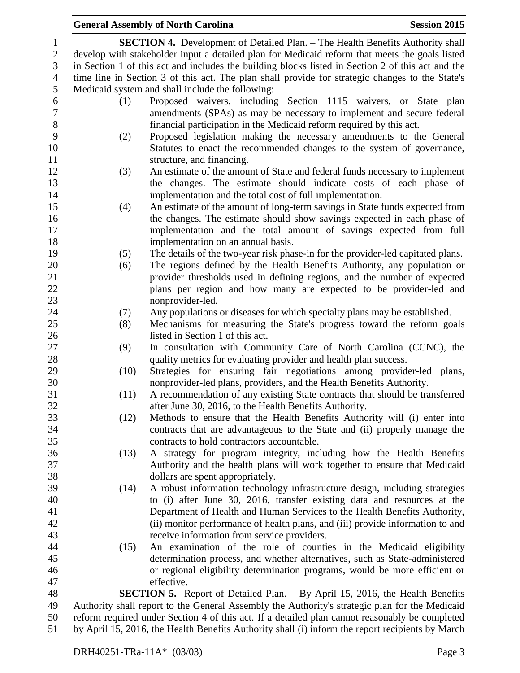#### **General Assembly of North Carolina Session 2015 SECTION 4.** Development of Detailed Plan. – The Health Benefits Authority shall develop with stakeholder input a detailed plan for Medicaid reform that meets the goals listed in Section 1 of this act and includes the building blocks listed in Section 2 of this act and the time line in Section 3 of this act. The plan shall provide for strategic changes to the State's Medicaid system and shall include the following: (1) Proposed waivers, including Section 1115 waivers, or State plan amendments (SPAs) as may be necessary to implement and secure federal financial participation in the Medicaid reform required by this act. (2) Proposed legislation making the necessary amendments to the General Statutes to enact the recommended changes to the system of governance, 11 structure, and financing. (3) An estimate of the amount of State and federal funds necessary to implement the changes. The estimate should indicate costs of each phase of implementation and the total cost of full implementation. (4) An estimate of the amount of long-term savings in State funds expected from the changes. The estimate should show savings expected in each phase of implementation and the total amount of savings expected from full implementation on an annual basis. (5) The details of the two-year risk phase-in for the provider-led capitated plans. (6) The regions defined by the Health Benefits Authority, any population or provider thresholds used in defining regions, and the number of expected plans per region and how many are expected to be provider-led and nonprovider-led. (7) Any populations or diseases for which specialty plans may be established. (8) Mechanisms for measuring the State's progress toward the reform goals listed in Section 1 of this act. (9) In consultation with Community Care of North Carolina (CCNC), the 28 quality metrics for evaluating provider and health plan success. (10) Strategies for ensuring fair negotiations among provider-led plans, nonprovider-led plans, providers, and the Health Benefits Authority. (11) A recommendation of any existing State contracts that should be transferred after June 30, 2016, to the Health Benefits Authority. (12) Methods to ensure that the Health Benefits Authority will (i) enter into contracts that are advantageous to the State and (ii) properly manage the contracts to hold contractors accountable. (13) A strategy for program integrity, including how the Health Benefits Authority and the health plans will work together to ensure that Medicaid dollars are spent appropriately. (14) A robust information technology infrastructure design, including strategies to (i) after June 30, 2016, transfer existing data and resources at the Department of Health and Human Services to the Health Benefits Authority, (ii) monitor performance of health plans, and (iii) provide information to and receive information from service providers. (15) An examination of the role of counties in the Medicaid eligibility determination process, and whether alternatives, such as State-administered or regional eligibility determination programs, would be more efficient or effective. **SECTION 5.** Report of Detailed Plan. – By April 15, 2016, the Health Benefits Authority shall report to the General Assembly the Authority's strategic plan for the Medicaid reform required under Section 4 of this act. If a detailed plan cannot reasonably be completed

by April 15, 2016, the Health Benefits Authority shall (i) inform the report recipients by March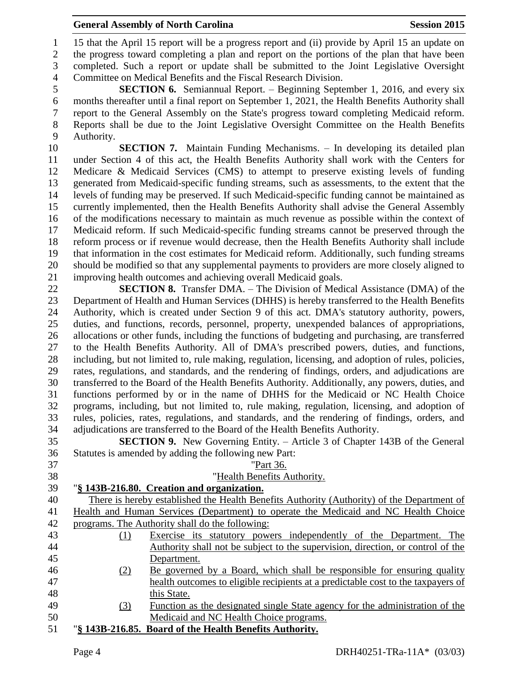#### **General Assembly of North Carolina Session 2015**

 15 that the April 15 report will be a progress report and (ii) provide by April 15 an update on the progress toward completing a plan and report on the portions of the plan that have been completed. Such a report or update shall be submitted to the Joint Legislative Oversight Committee on Medical Benefits and the Fiscal Research Division.

 **SECTION 6.** Semiannual Report. – Beginning September 1, 2016, and every six months thereafter until a final report on September 1, 2021, the Health Benefits Authority shall report to the General Assembly on the State's progress toward completing Medicaid reform. Reports shall be due to the Joint Legislative Oversight Committee on the Health Benefits Authority.

 **SECTION 7.** Maintain Funding Mechanisms. – In developing its detailed plan under Section 4 of this act, the Health Benefits Authority shall work with the Centers for Medicare & Medicaid Services (CMS) to attempt to preserve existing levels of funding generated from Medicaid-specific funding streams, such as assessments, to the extent that the levels of funding may be preserved. If such Medicaid-specific funding cannot be maintained as currently implemented, then the Health Benefits Authority shall advise the General Assembly of the modifications necessary to maintain as much revenue as possible within the context of Medicaid reform. If such Medicaid-specific funding streams cannot be preserved through the reform process or if revenue would decrease, then the Health Benefits Authority shall include that information in the cost estimates for Medicaid reform. Additionally, such funding streams should be modified so that any supplemental payments to providers are more closely aligned to improving health outcomes and achieving overall Medicaid goals.

 **SECTION 8.** Transfer DMA. – The Division of Medical Assistance (DMA) of the Department of Health and Human Services (DHHS) is hereby transferred to the Health Benefits Authority, which is created under Section 9 of this act. DMA's statutory authority, powers, duties, and functions, records, personnel, property, unexpended balances of appropriations, allocations or other funds, including the functions of budgeting and purchasing, are transferred to the Health Benefits Authority. All of DMA's prescribed powers, duties, and functions, including, but not limited to, rule making, regulation, licensing, and adoption of rules, policies, rates, regulations, and standards, and the rendering of findings, orders, and adjudications are transferred to the Board of the Health Benefits Authority. Additionally, any powers, duties, and functions performed by or in the name of DHHS for the Medicaid or NC Health Choice programs, including, but not limited to, rule making, regulation, licensing, and adoption of rules, policies, rates, regulations, and standards, and the rendering of findings, orders, and adjudications are transferred to the Board of the Health Benefits Authority.

 **SECTION 9.** New Governing Entity. – Article 3 of Chapter 143B of the General Statutes is amended by adding the following new Part:

| 37 |     | "Part 36.                                                                                  |
|----|-----|--------------------------------------------------------------------------------------------|
| 38 |     | "Health Benefits Authority.                                                                |
| 39 |     | "§ 143B-216.80. Creation and organization.                                                 |
| 40 |     | There is hereby established the Health Benefits Authority (Authority) of the Department of |
| 41 |     | Health and Human Services (Department) to operate the Medicaid and NC Health Choice        |
| 42 |     | programs. The Authority shall do the following:                                            |
| 43 | (1) | Exercise its statutory powers independently of the Department. The                         |
| 44 |     | Authority shall not be subject to the supervision, direction, or control of the            |
| 45 |     | Department.                                                                                |
| 46 | (2) | Be governed by a Board, which shall be responsible for ensuring quality                    |
| 47 |     | health outcomes to eligible recipients at a predictable cost to the taxpayers of           |
| 48 |     | this State.                                                                                |
| 49 | (3) | Function as the designated single State agency for the administration of the               |
| 50 |     | Medicaid and NC Health Choice programs.                                                    |
| 51 |     | "§ 143B-216.85. Board of the Health Benefits Authority.                                    |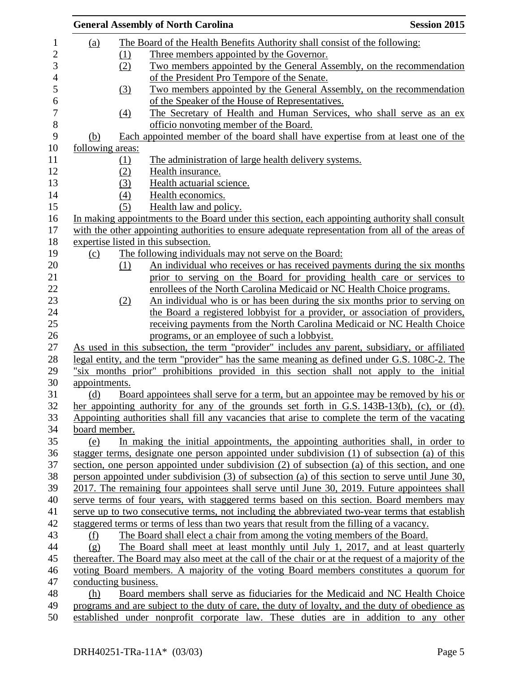| <b>Session 2015</b><br><b>General Assembly of North Carolina</b>                                                                                                                  |
|-----------------------------------------------------------------------------------------------------------------------------------------------------------------------------------|
| The Board of the Health Benefits Authority shall consist of the following:                                                                                                        |
| Three members appointed by the Governor.                                                                                                                                          |
| Two members appointed by the General Assembly, on the recommendation                                                                                                              |
| of the President Pro Tempore of the Senate.                                                                                                                                       |
| Two members appointed by the General Assembly, on the recommendation                                                                                                              |
| of the Speaker of the House of Representatives.                                                                                                                                   |
| The Secretary of Health and Human Services, who shall serve as an ex-                                                                                                             |
| officio nonvoting member of the Board.                                                                                                                                            |
| Each appointed member of the board shall have expertise from at least one of the                                                                                                  |
| following areas:                                                                                                                                                                  |
|                                                                                                                                                                                   |
| The administration of large health delivery systems.                                                                                                                              |
| Health insurance.                                                                                                                                                                 |
| Health actuarial science.                                                                                                                                                         |
| Health economics.                                                                                                                                                                 |
| Health law and policy.                                                                                                                                                            |
| In making appointments to the Board under this section, each appointing authority shall consult                                                                                   |
| with the other appointing authorities to ensure adequate representation from all of the areas of                                                                                  |
| expertise listed in this subsection.                                                                                                                                              |
| The following individuals may not serve on the Board:                                                                                                                             |
| An individual who receives or has received payments during the six months                                                                                                         |
| prior to serving on the Board for providing health care or services to                                                                                                            |
| enrollees of the North Carolina Medicaid or NC Health Choice programs.                                                                                                            |
| An individual who is or has been during the six months prior to serving on                                                                                                        |
| the Board a registered lobbyist for a provider, or association of providers,                                                                                                      |
| receiving payments from the North Carolina Medicaid or NC Health Choice                                                                                                           |
| programs, or an employee of such a lobbyist.                                                                                                                                      |
| As used in this subsection, the term "provider" includes any parent, subsidiary, or affiliated                                                                                    |
| legal entity, and the term "provider" has the same meaning as defined under G.S. 108C-2. The                                                                                      |
| "six months prior" prohibitions provided in this section shall not apply to the initial                                                                                           |
|                                                                                                                                                                                   |
| Board appointees shall serve for a term, but an appointee may be removed by his or                                                                                                |
| her appointing authority for any of the grounds set forth in G.S. $143B-13(b)$ , (c), or (d).                                                                                     |
| Appointing authorities shall fill any vacancies that arise to complete the term of the vacating                                                                                   |
|                                                                                                                                                                                   |
| In making the initial appointments, the appointing authorities shall, in order to                                                                                                 |
| stagger terms, designate one person appointed under subdivision (1) of subsection (a) of this                                                                                     |
| section, one person appointed under subdivision (2) of subsection (a) of this section, and one                                                                                    |
| person appointed under subdivision (3) of subsection (a) of this section to serve until June 30,                                                                                  |
| 2017. The remaining four appointees shall serve until June 30, 2019. Future appointees shall                                                                                      |
| serve terms of four years, with staggered terms based on this section. Board members may                                                                                          |
| serve up to two consecutive terms, not including the abbreviated two-year terms that establish                                                                                    |
| staggered terms or terms of less than two years that result from the filling of a vacancy.                                                                                        |
| The Board shall elect a chair from among the voting members of the Board.                                                                                                         |
| The Board shall meet at least monthly until July 1, 2017, and at least quarterly                                                                                                  |
| thereafter. The Board may also meet at the call of the chair or at the request of a majority of the                                                                               |
| voting Board members. A majority of the voting Board members constitutes a quorum for                                                                                             |
|                                                                                                                                                                                   |
|                                                                                                                                                                                   |
| conducting business.                                                                                                                                                              |
| Board members shall serve as fiduciaries for the Medicaid and NC Health Choice<br>programs and are subject to the duty of care, the duty of loyalty, and the duty of obedience as |
|                                                                                                                                                                                   |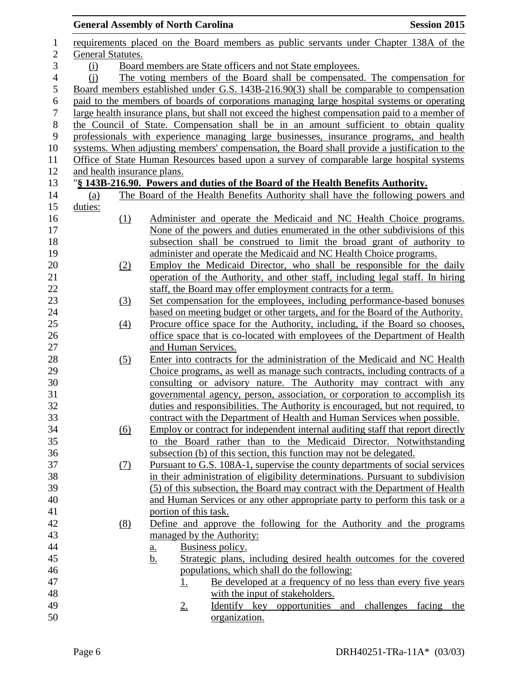|                  |                             |                   | <b>General Assembly of North Carolina</b>                                                       | <b>Session 2015</b> |
|------------------|-----------------------------|-------------------|-------------------------------------------------------------------------------------------------|---------------------|
| $\mathbf{1}$     |                             |                   | requirements placed on the Board members as public servants under Chapter 138A of the           |                     |
| $\overline{2}$   | General Statutes.           |                   |                                                                                                 |                     |
| 3                | (i)                         |                   | Board members are State officers and not State employees.                                       |                     |
| $\overline{4}$   | (i)                         |                   | The voting members of the Board shall be compensated. The compensation for                      |                     |
| 5                |                             |                   | Board members established under G.S. 143B-216.90(3) shall be comparable to compensation         |                     |
| 6                |                             |                   | paid to the members of boards of corporations managing large hospital systems or operating      |                     |
| $\boldsymbol{7}$ |                             |                   | large health insurance plans, but shall not exceed the highest compensation paid to a member of |                     |
| $8\,$            |                             |                   | the Council of State. Compensation shall be in an amount sufficient to obtain quality           |                     |
| 9                |                             |                   | professionals with experience managing large businesses, insurance programs, and health         |                     |
| 10               |                             |                   | systems. When adjusting members' compensation, the Board shall provide a justification to the   |                     |
| 11               |                             |                   | Office of State Human Resources based upon a survey of comparable large hospital systems        |                     |
| 12               | and health insurance plans. |                   |                                                                                                 |                     |
| 13               |                             |                   | "§ 143B-216.90. Powers and duties of the Board of the Health Benefits Authority.                |                     |
| 14               | (a)                         |                   | The Board of the Health Benefits Authority shall have the following powers and                  |                     |
| 15               | duties:                     |                   |                                                                                                 |                     |
| 16               |                             | (1)               | Administer and operate the Medicaid and NC Health Choice programs.                              |                     |
| 17               |                             |                   | None of the powers and duties enumerated in the other subdivisions of this                      |                     |
| 18               |                             |                   | subsection shall be construed to limit the broad grant of authority to                          |                     |
| 19               |                             |                   | administer and operate the Medicaid and NC Health Choice programs.                              |                     |
| 20               |                             | (2)               | Employ the Medicaid Director, who shall be responsible for the daily                            |                     |
| 21               |                             |                   | operation of the Authority, and other staff, including legal staff. In hiring                   |                     |
| 22               |                             |                   | staff, the Board may offer employment contracts for a term.                                     |                     |
| 23               |                             | (3)               | Set compensation for the employees, including performance-based bonuses                         |                     |
| 24               |                             |                   | based on meeting budget or other targets, and for the Board of the Authority.                   |                     |
| 25               |                             | (4)               | Procure office space for the Authority, including, if the Board so chooses,                     |                     |
| 26               |                             |                   | office space that is co-located with employees of the Department of Health                      |                     |
| 27               |                             |                   | and Human Services.                                                                             |                     |
| 28               |                             | (5)               | Enter into contracts for the administration of the Medicaid and NC Health                       |                     |
| 29               |                             |                   | Choice programs, as well as manage such contracts, including contracts of a                     |                     |
| $30\,$           |                             |                   | consulting or advisory nature. The Authority may contract with any                              |                     |
| 31               |                             |                   | governmental agency, person, association, or corporation to accomplish its                      |                     |
| 32               |                             |                   | duties and responsibilities. The Authority is encouraged, but not required, to                  |                     |
| 33               |                             |                   | contract with the Department of Health and Human Services when possible.                        |                     |
| 34               |                             | $\underline{(6)}$ | Employ or contract for independent internal auditing staff that report directly                 |                     |
| 35               |                             |                   | the Board rather than to the Medicaid Director. Notwithstanding<br>to                           |                     |
| 36               |                             |                   | subsection (b) of this section, this function may not be delegated.                             |                     |
| 37               |                             | <u>(7)</u>        | Pursuant to G.S. 108A-1, supervise the county departments of social services                    |                     |
| 38               |                             |                   | in their administration of eligibility determinations. Pursuant to subdivision                  |                     |
| 39               |                             |                   | (5) of this subsection, the Board may contract with the Department of Health                    |                     |
| 40               |                             |                   | and Human Services or any other appropriate party to perform this task or a                     |                     |
| 41               |                             |                   | portion of this task.                                                                           |                     |
| 42               |                             | (8)               | Define and approve the following for the Authority and the programs                             |                     |
| 43               |                             |                   | managed by the Authority:                                                                       |                     |
| 44               |                             |                   | Business policy.<br>a.                                                                          |                     |
| 45               |                             |                   | Strategic plans, including desired health outcomes for the covered<br><u>b.</u>                 |                     |
| 46               |                             |                   | populations, which shall do the following:                                                      |                     |
| 47               |                             |                   | Be developed at a frequency of no less than every five years<br><u>1.</u>                       |                     |
| 48               |                             |                   | with the input of stakeholders.                                                                 |                     |
| 49               |                             |                   | Identify key opportunities and challenges<br>$2_{\cdot}$                                        | facing<br>the       |
| 50               |                             |                   | organization.                                                                                   |                     |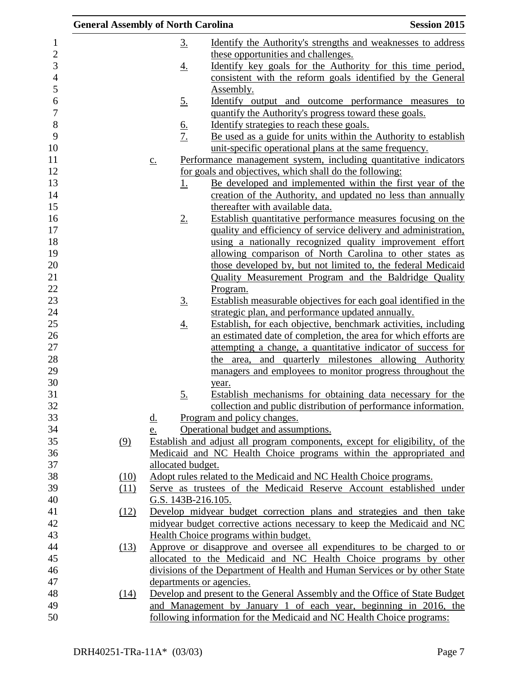| <b>General Assembly of North Carolina</b> |                   |                    |                                                                       | <b>Session 2015</b>                                                                                                               |
|-------------------------------------------|-------------------|--------------------|-----------------------------------------------------------------------|-----------------------------------------------------------------------------------------------------------------------------------|
|                                           |                   | <u>3.</u>          |                                                                       | <u>Identify the Authority's strengths and weaknesses to address</u>                                                               |
|                                           |                   |                    | these opportunities and challenges.                                   |                                                                                                                                   |
|                                           |                   | <u>4.</u>          |                                                                       | Identify key goals for the Authority for this time period,                                                                        |
|                                           |                   |                    |                                                                       | consistent with the reform goals identified by the General                                                                        |
|                                           |                   |                    | Assembly.                                                             |                                                                                                                                   |
|                                           |                   | <u>5.</u>          |                                                                       | <u>Identify</u> output and outcome performance measures to                                                                        |
|                                           |                   |                    | quantify the Authority's progress toward these goals.                 |                                                                                                                                   |
|                                           |                   |                    | Identify strategies to reach these goals.                             |                                                                                                                                   |
|                                           |                   | $rac{6}{7}$        |                                                                       | Be used as a guide for units within the Authority to establish                                                                    |
|                                           |                   |                    | unit-specific operational plans at the same frequency.                |                                                                                                                                   |
|                                           | $\underline{c}$ . |                    |                                                                       | Performance management system, including quantitative indicators                                                                  |
|                                           |                   |                    | for goals and objectives, which shall do the following:               |                                                                                                                                   |
|                                           |                   | <u>1.</u>          |                                                                       | <u>Be developed and implemented within the first year of the</u>                                                                  |
|                                           |                   |                    |                                                                       | creation of the Authority, and updated no less than annually                                                                      |
|                                           |                   |                    | thereafter with available data.                                       |                                                                                                                                   |
|                                           |                   | $2_{\cdot}$        |                                                                       | Establish quantitative performance measures focusing on the                                                                       |
|                                           |                   |                    |                                                                       | quality and efficiency of service delivery and administration,                                                                    |
|                                           |                   |                    |                                                                       | using a nationally recognized quality improvement effort                                                                          |
|                                           |                   |                    |                                                                       | allowing comparison of North Carolina to other states as                                                                          |
|                                           |                   |                    |                                                                       | those developed by, but not limited to, the federal Medicaid                                                                      |
|                                           |                   |                    |                                                                       | Quality Measurement Program and the Baldridge Quality                                                                             |
|                                           |                   |                    | Program.                                                              |                                                                                                                                   |
|                                           |                   | $\underline{3}$ .  |                                                                       | Establish measurable objectives for each goal identified in the                                                                   |
|                                           |                   |                    | strategic plan, and performance updated annually.                     |                                                                                                                                   |
|                                           |                   | <u>4.</u>          |                                                                       | Establish, for each objective, benchmark activities, including<br>an estimated date of completion, the area for which efforts are |
|                                           |                   |                    |                                                                       | attempting a change, a quantitative indicator of success for                                                                      |
|                                           |                   |                    |                                                                       | the area, and quarterly milestones allowing Authority                                                                             |
|                                           |                   |                    |                                                                       | managers and employees to monitor progress throughout the                                                                         |
|                                           |                   |                    | year.                                                                 |                                                                                                                                   |
|                                           |                   | 5.                 |                                                                       | Establish mechanisms for obtaining data necessary for the                                                                         |
|                                           |                   |                    |                                                                       | collection and public distribution of performance information.                                                                    |
|                                           | <u>d.</u>         |                    | Program and policy changes.                                           |                                                                                                                                   |
|                                           | e.                |                    | Operational budget and assumptions.                                   |                                                                                                                                   |
| (9)                                       |                   |                    |                                                                       | Establish and adjust all program components, except for eligibility, of the                                                       |
|                                           |                   |                    |                                                                       | Medicaid and NC Health Choice programs within the appropriated and                                                                |
|                                           |                   | allocated budget.  |                                                                       |                                                                                                                                   |
| (10)                                      |                   |                    | Adopt rules related to the Medicaid and NC Health Choice programs.    |                                                                                                                                   |
| (11)                                      |                   |                    |                                                                       | Serve as trustees of the Medicaid Reserve Account established under                                                               |
|                                           |                   | G.S. 143B-216.105. |                                                                       |                                                                                                                                   |
| (12)                                      |                   |                    |                                                                       | Develop midyear budget correction plans and strategies and then take                                                              |
|                                           |                   |                    |                                                                       | midyear budget corrective actions necessary to keep the Medicaid and NC                                                           |
|                                           |                   |                    | Health Choice programs within budget.                                 |                                                                                                                                   |
| (13)                                      |                   |                    |                                                                       | Approve or disapprove and oversee all expenditures to be charged to or                                                            |
|                                           |                   |                    |                                                                       | allocated to the Medicaid and NC Health Choice programs by other                                                                  |
|                                           |                   |                    |                                                                       | divisions of the Department of Health and Human Services or by other State                                                        |
|                                           |                   |                    | departments or agencies.                                              |                                                                                                                                   |
| (14)                                      |                   |                    |                                                                       | Develop and present to the General Assembly and the Office of State Budget                                                        |
|                                           |                   |                    |                                                                       | and Management by January 1 of each year, beginning in 2016, the                                                                  |
|                                           |                   |                    | following information for the Medicaid and NC Health Choice programs: |                                                                                                                                   |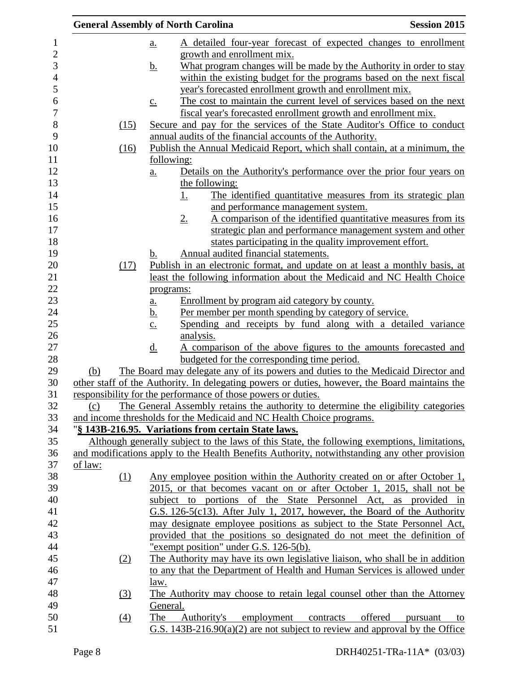| <b>General Assembly of North Carolina</b> |                   |                |                                                                       | <b>Session 2015</b>                                                                                                                                 |
|-------------------------------------------|-------------------|----------------|-----------------------------------------------------------------------|-----------------------------------------------------------------------------------------------------------------------------------------------------|
|                                           | <u>a.</u>         |                |                                                                       | A detailed four-year forecast of expected changes to enrollment                                                                                     |
|                                           |                   |                | growth and enrollment mix.                                            |                                                                                                                                                     |
|                                           | <u>b.</u>         |                |                                                                       | What program changes will be made by the Authority in order to stay                                                                                 |
|                                           |                   |                |                                                                       | within the existing budget for the programs based on the next fiscal                                                                                |
|                                           |                   |                | year's forecasted enrollment growth and enrollment mix.               |                                                                                                                                                     |
|                                           | $\underline{c}$ . |                |                                                                       | The cost to maintain the current level of services based on the next                                                                                |
|                                           |                   |                |                                                                       | fiscal year's forecasted enrollment growth and enrollment mix.                                                                                      |
| (15)                                      |                   |                |                                                                       | Secure and pay for the services of the State Auditor's Office to conduct                                                                            |
|                                           |                   |                | annual audits of the financial accounts of the Authority.             |                                                                                                                                                     |
| (16)                                      |                   |                |                                                                       | Publish the Annual Medicaid Report, which shall contain, at a minimum, the                                                                          |
|                                           |                   | following:     |                                                                       |                                                                                                                                                     |
|                                           | a.                |                |                                                                       | Details on the Authority's performance over the prior four years on                                                                                 |
|                                           |                   | the following: |                                                                       |                                                                                                                                                     |
|                                           |                   | <u>1.</u>      |                                                                       | The identified quantitative measures from its strategic plan                                                                                        |
|                                           |                   |                | and performance management system.                                    |                                                                                                                                                     |
|                                           |                   | $2_{\cdot}$    |                                                                       | A comparison of the identified quantitative measures from its                                                                                       |
|                                           |                   |                |                                                                       | strategic plan and performance management system and other                                                                                          |
|                                           |                   |                |                                                                       | states participating in the quality improvement effort.                                                                                             |
|                                           | b.                |                | Annual audited financial statements.                                  |                                                                                                                                                     |
| (17)                                      |                   |                |                                                                       | Publish in an electronic format, and update on at least a monthly basis, at                                                                         |
|                                           |                   |                |                                                                       | least the following information about the Medicaid and NC Health Choice                                                                             |
|                                           | programs:         |                |                                                                       |                                                                                                                                                     |
|                                           | $\underline{a}$ . |                | Enrollment by program aid category by county.                         |                                                                                                                                                     |
|                                           | <u>b.</u>         |                | Per member per month spending by category of service.                 |                                                                                                                                                     |
|                                           | $\underline{c}$ . |                |                                                                       | Spending and receipts by fund along with a detailed variance                                                                                        |
|                                           |                   | analysis.      |                                                                       |                                                                                                                                                     |
|                                           | $\underline{d}$ . |                |                                                                       | A comparison of the above figures to the amounts forecasted and                                                                                     |
|                                           |                   |                | budgeted for the corresponding time period.                           |                                                                                                                                                     |
| (b)                                       |                   |                |                                                                       | The Board may delegate any of its powers and duties to the Medicaid Director and                                                                    |
|                                           |                   |                |                                                                       | other staff of the Authority. In delegating powers or duties, however, the Board maintains the                                                      |
|                                           |                   |                | responsibility for the performance of those powers or duties.         |                                                                                                                                                     |
| (c)                                       |                   |                |                                                                       | The General Assembly retains the authority to determine the eligibility categories                                                                  |
|                                           |                   |                | and income thresholds for the Medicaid and NC Health Choice programs. |                                                                                                                                                     |
|                                           |                   |                | "§ 143B-216.95. Variations from certain State laws.                   |                                                                                                                                                     |
|                                           |                   |                |                                                                       | Although generally subject to the laws of this State, the following exemptions, limitations,                                                        |
| of law:                                   |                   |                |                                                                       | and modifications apply to the Health Benefits Authority, notwithstanding any other provision                                                       |
|                                           |                   |                |                                                                       |                                                                                                                                                     |
| (1)                                       |                   |                |                                                                       | Any employee position within the Authority created on or after October 1,<br>2015, or that becomes vacant on or after October 1, 2015, shall not be |
|                                           |                   |                |                                                                       | subject to portions of the State Personnel Act, as provided in                                                                                      |
|                                           |                   |                |                                                                       | G.S. 126-5(c13). After July 1, 2017, however, the Board of the Authority                                                                            |
|                                           |                   |                |                                                                       | may designate employee positions as subject to the State Personnel Act,                                                                             |
|                                           |                   |                |                                                                       | provided that the positions so designated do not meet the definition of                                                                             |
|                                           |                   |                | "exempt position" under G.S. 126-5(b).                                |                                                                                                                                                     |
| (2)                                       |                   |                |                                                                       | The Authority may have its own legislative liaison, who shall be in addition                                                                        |
|                                           |                   |                |                                                                       | to any that the Department of Health and Human Services is allowed under                                                                            |
|                                           | law.              |                |                                                                       |                                                                                                                                                     |
| $\left(3\right)$                          |                   |                |                                                                       | The Authority may choose to retain legal counsel other than the Attorney                                                                            |
|                                           | General.          |                |                                                                       |                                                                                                                                                     |
| (4)                                       | The               |                | Authority's employment contracts offered                              | pursuant<br>to                                                                                                                                      |
|                                           |                   |                |                                                                       | G.S. $143B-216.90(a)(2)$ are not subject to review and approval by the Office                                                                       |
|                                           |                   |                |                                                                       |                                                                                                                                                     |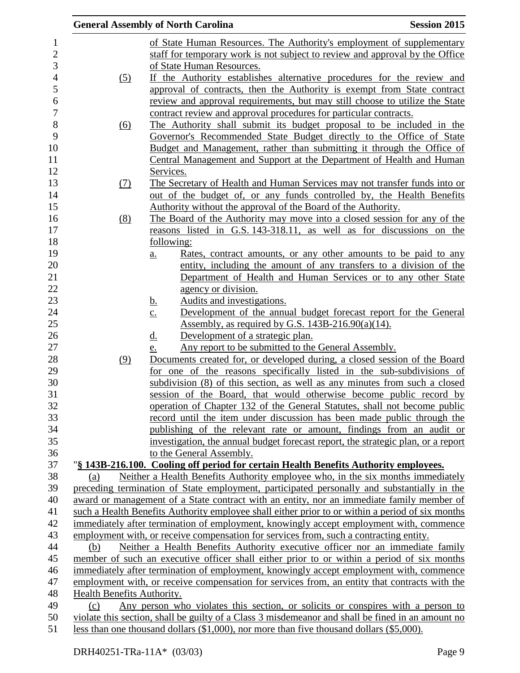|                            |                   | <b>General Assembly of North Carolina</b>                                                                                                                 | <b>Session 2015</b> |
|----------------------------|-------------------|-----------------------------------------------------------------------------------------------------------------------------------------------------------|---------------------|
|                            |                   | of State Human Resources. The Authority's employment of supplementary                                                                                     |                     |
|                            |                   | staff for temporary work is not subject to review and approval by the Office                                                                              |                     |
|                            |                   | of State Human Resources.                                                                                                                                 |                     |
|                            | (5)               | If the Authority establishes alternative procedures for the review and                                                                                    |                     |
|                            |                   | approval of contracts, then the Authority is exempt from State contract                                                                                   |                     |
|                            |                   | review and approval requirements, but may still choose to utilize the State                                                                               |                     |
|                            |                   | contract review and approval procedures for particular contracts.                                                                                         |                     |
|                            | $\underline{(6)}$ | The Authority shall submit its budget proposal to be included in the                                                                                      |                     |
|                            |                   | Governor's Recommended State Budget directly to the Office of State                                                                                       |                     |
|                            |                   | Budget and Management, rather than submitting it through the Office of                                                                                    |                     |
|                            |                   | Central Management and Support at the Department of Health and Human                                                                                      |                     |
|                            |                   | Services.                                                                                                                                                 |                     |
|                            | (7)               | The Secretary of Health and Human Services may not transfer funds into or                                                                                 |                     |
|                            |                   | out of the budget of, or any funds controlled by, the Health Benefits                                                                                     |                     |
|                            |                   | Authority without the approval of the Board of the Authority.                                                                                             |                     |
|                            | (8)               | The Board of the Authority may move into a closed session for any of the                                                                                  |                     |
|                            |                   | reasons listed in G.S. 143-318.11, as well as for discussions on the                                                                                      |                     |
|                            |                   | following:                                                                                                                                                |                     |
|                            |                   | Rates, contract amounts, or any other amounts to be paid to any<br>$a_{\cdot}$                                                                            |                     |
|                            |                   | entity, including the amount of any transfers to a division of the                                                                                        |                     |
|                            |                   | Department of Health and Human Services or to any other State                                                                                             |                     |
|                            |                   | agency or division.                                                                                                                                       |                     |
|                            |                   | Audits and investigations.<br><u>b.</u>                                                                                                                   |                     |
|                            |                   | Development of the annual budget forecast report for the General<br>$\underline{c}$ .                                                                     |                     |
|                            |                   | Assembly, as required by G.S. $143B-216.90(a)(14)$ .                                                                                                      |                     |
|                            |                   | $\underline{d}$ .<br>Development of a strategic plan.                                                                                                     |                     |
|                            |                   | Any report to be submitted to the General Assembly.<br>e.                                                                                                 |                     |
|                            | (9)               | Documents created for, or developed during, a closed session of the Board                                                                                 |                     |
|                            |                   | for one of the reasons specifically listed in the sub-subdivisions of                                                                                     |                     |
|                            |                   | subdivision (8) of this section, as well as any minutes from such a closed                                                                                |                     |
|                            |                   | session of the Board, that would otherwise become public record by                                                                                        |                     |
|                            |                   | operation of Chapter 132 of the General Statutes, shall not become public                                                                                 |                     |
|                            |                   | record until the item under discussion has been made public through the                                                                                   |                     |
|                            |                   | publishing of the relevant rate or amount, findings from an audit or<br>investigation, the annual budget forecast report, the strategic plan, or a report |                     |
|                            |                   | to the General Assembly.                                                                                                                                  |                     |
|                            |                   | "§ 143B-216.100. Cooling off period for certain Health Benefits Authority employees.                                                                      |                     |
| (a)                        |                   | Neither a Health Benefits Authority employee who, in the six months immediately                                                                           |                     |
|                            |                   | preceding termination of State employment, participated personally and substantially in the                                                               |                     |
|                            |                   | award or management of a State contract with an entity, nor an immediate family member of                                                                 |                     |
|                            |                   | such a Health Benefits Authority employee shall either prior to or within a period of six months                                                          |                     |
|                            |                   | immediately after termination of employment, knowingly accept employment with, commence                                                                   |                     |
|                            |                   | employment with, or receive compensation for services from, such a contracting entity.                                                                    |                     |
| (b)                        |                   | Neither a Health Benefits Authority executive officer nor an immediate family                                                                             |                     |
|                            |                   | member of such an executive officer shall either prior to or within a period of six months                                                                |                     |
|                            |                   | immediately after termination of employment, knowingly accept employment with, commence                                                                   |                     |
|                            |                   | employment with, or receive compensation for services from, an entity that contracts with the                                                             |                     |
| Health Benefits Authority. |                   |                                                                                                                                                           |                     |
| (c)                        |                   | Any person who violates this section, or solicits or conspires with a person to                                                                           |                     |
|                            |                   | violate this section, shall be guilty of a Class 3 misdemeanor and shall be fined in an amount no                                                         |                     |
|                            |                   | less than one thousand dollars (\$1,000), nor more than five thousand dollars (\$5,000).                                                                  |                     |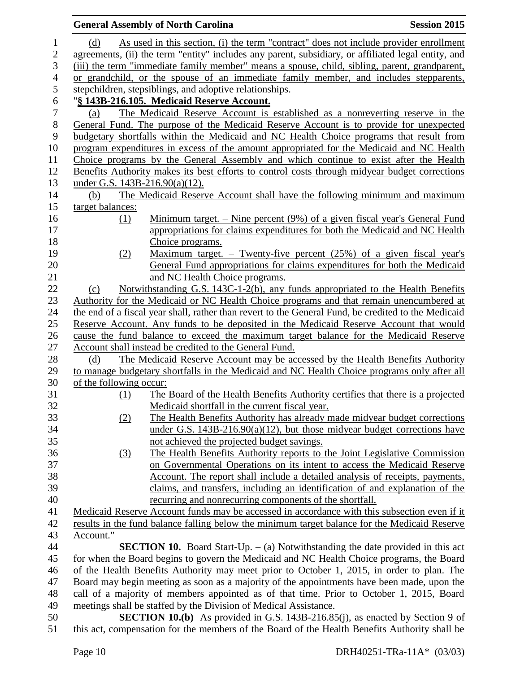|                | <b>General Assembly of North Carolina</b>                                                                                                      | <b>Session 2015</b> |
|----------------|------------------------------------------------------------------------------------------------------------------------------------------------|---------------------|
| 1              | As used in this section, (i) the term "contract" does not include provider enrollment<br>(d)                                                   |                     |
| 2              | agreements, (ii) the term "entity" includes any parent, subsidiary, or affiliated legal entity, and                                            |                     |
| 3              | (iii) the term "immediate family member" means a spouse, child, sibling, parent, grandparent,                                                  |                     |
| $\overline{4}$ | or grandchild, or the spouse of an immediate family member, and includes stepparents,                                                          |                     |
| 5              | stepchildren, stepsiblings, and adoptive relationships.                                                                                        |                     |
| 6              | "§ 143B-216.105. Medicaid Reserve Account.                                                                                                     |                     |
| $\tau$         | The Medicaid Reserve Account is established as a nonreverting reserve in the<br>(a)                                                            |                     |
| $8\,$          | General Fund. The purpose of the Medicaid Reserve Account is to provide for unexpected                                                         |                     |
| 9              | budgetary shortfalls within the Medicaid and NC Health Choice programs that result from                                                        |                     |
| 10             | program expenditures in excess of the amount appropriated for the Medicaid and NC Health                                                       |                     |
| 11             | Choice programs by the General Assembly and which continue to exist after the Health                                                           |                     |
| 12             | Benefits Authority makes its best efforts to control costs through midyear budget corrections                                                  |                     |
| 13             | under G.S. $143B-216.90(a)(12)$ .                                                                                                              |                     |
| 14             | The Medicaid Reserve Account shall have the following minimum and maximum<br>(b)                                                               |                     |
| 15             | target balances:                                                                                                                               |                     |
| 16             | Minimum target. $-$ Nine percent (9%) of a given fiscal year's General Fund<br>(1)                                                             |                     |
| 17             | appropriations for claims expenditures for both the Medicaid and NC Health                                                                     |                     |
| 18             | Choice programs.                                                                                                                               |                     |
| 19             | <u>Maximum target. – Twenty-five percent (25%) of a given fiscal year's</u><br>(2)                                                             |                     |
| 20             | General Fund appropriations for claims expenditures for both the Medicaid                                                                      |                     |
| 21             | and NC Health Choice programs.                                                                                                                 |                     |
| 22             | Notwithstanding G.S. 143C-1-2(b), any funds appropriated to the Health Benefits<br>(c)                                                         |                     |
| 23             | Authority for the Medicaid or NC Health Choice programs and that remain unencumbered at                                                        |                     |
| 24             | the end of a fiscal year shall, rather than revert to the General Fund, be credited to the Medicaid                                            |                     |
| 25             | Reserve Account. Any funds to be deposited in the Medicaid Reserve Account that would                                                          |                     |
| 26             | cause the fund balance to exceed the maximum target balance for the Medicaid Reserve                                                           |                     |
| 27             | Account shall instead be credited to the General Fund.<br>The Medicaid Reserve Account may be accessed by the Health Benefits Authority<br>(d) |                     |
| 28<br>29       | to manage budgetary shortfalls in the Medicaid and NC Health Choice programs only after all                                                    |                     |
| 30             | of the following occur:                                                                                                                        |                     |
| 31             | The Board of the Health Benefits Authority certifies that there is a projected<br><u>(1)</u>                                                   |                     |
| 32             | Medicaid shortfall in the current fiscal year.                                                                                                 |                     |
| 33             | The Health Benefits Authority has already made midyear budget corrections<br>(2)                                                               |                     |
| 34             | under G.S. $143B-216.90(a)(12)$ , but those midyear budget corrections have                                                                    |                     |
| 35             | not achieved the projected budget savings.                                                                                                     |                     |
| 36             | The Health Benefits Authority reports to the Joint Legislative Commission<br><u>(3)</u>                                                        |                     |
| 37             | on Governmental Operations on its intent to access the Medicaid Reserve                                                                        |                     |
| 38             | Account. The report shall include a detailed analysis of receipts, payments,                                                                   |                     |
| 39             | claims, and transfers, including an identification of and explanation of the                                                                   |                     |
| 40             | recurring and nonrecurring components of the shortfall.                                                                                        |                     |
| 41             | Medicaid Reserve Account funds may be accessed in accordance with this subsection even if it                                                   |                     |
| 42             | results in the fund balance falling below the minimum target balance for the Medicaid Reserve                                                  |                     |
| 43             | Account."                                                                                                                                      |                     |
| 44             | <b>SECTION 10.</b> Board Start-Up. $-$ (a) Notwithstanding the date provided in this act                                                       |                     |
| 45             | for when the Board begins to govern the Medicaid and NC Health Choice programs, the Board                                                      |                     |
| 46             | of the Health Benefits Authority may meet prior to October 1, 2015, in order to plan. The                                                      |                     |
| 47             | Board may begin meeting as soon as a majority of the appointments have been made, upon the                                                     |                     |
| 48             | call of a majority of members appointed as of that time. Prior to October 1, 2015, Board                                                       |                     |
| 49             | meetings shall be staffed by the Division of Medical Assistance.                                                                               |                     |
| 50             | <b>SECTION 10.(b)</b> As provided in G.S. 143B-216.85(j), as enacted by Section 9 of                                                           |                     |

this act, compensation for the members of the Board of the Health Benefits Authority shall be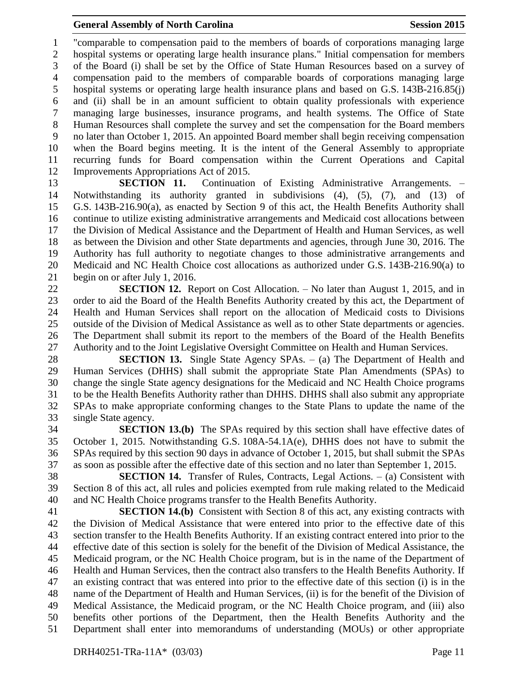"comparable to compensation paid to the members of boards of corporations managing large hospital systems or operating large health insurance plans." Initial compensation for members of the Board (i) shall be set by the Office of State Human Resources based on a survey of compensation paid to the members of comparable boards of corporations managing large hospital systems or operating large health insurance plans and based on G.S. 143B-216.85(j) and (ii) shall be in an amount sufficient to obtain quality professionals with experience managing large businesses, insurance programs, and health systems. The Office of State Human Resources shall complete the survey and set the compensation for the Board members no later than October 1, 2015. An appointed Board member shall begin receiving compensation when the Board begins meeting. It is the intent of the General Assembly to appropriate recurring funds for Board compensation within the Current Operations and Capital Improvements Appropriations Act of 2015.

 **SECTION 11.** Continuation of Existing Administrative Arrangements. – Notwithstanding its authority granted in subdivisions (4), (5), (7), and (13) of G.S. 143B-216.90(a), as enacted by Section 9 of this act, the Health Benefits Authority shall continue to utilize existing administrative arrangements and Medicaid cost allocations between the Division of Medical Assistance and the Department of Health and Human Services, as well as between the Division and other State departments and agencies, through June 30, 2016. The Authority has full authority to negotiate changes to those administrative arrangements and Medicaid and NC Health Choice cost allocations as authorized under G.S. 143B-216.90(a) to begin on or after July 1, 2016.

 **SECTION 12.** Report on Cost Allocation. – No later than August 1, 2015, and in order to aid the Board of the Health Benefits Authority created by this act, the Department of Health and Human Services shall report on the allocation of Medicaid costs to Divisions outside of the Division of Medical Assistance as well as to other State departments or agencies. The Department shall submit its report to the members of the Board of the Health Benefits Authority and to the Joint Legislative Oversight Committee on Health and Human Services.

 **SECTION 13.** Single State Agency SPAs. – (a) The Department of Health and Human Services (DHHS) shall submit the appropriate State Plan Amendments (SPAs) to change the single State agency designations for the Medicaid and NC Health Choice programs to be the Health Benefits Authority rather than DHHS. DHHS shall also submit any appropriate SPAs to make appropriate conforming changes to the State Plans to update the name of the single State agency.

 **SECTION 13.(b)** The SPAs required by this section shall have effective dates of October 1, 2015. Notwithstanding G.S. 108A-54.1A(e), DHHS does not have to submit the SPAs required by this section 90 days in advance of October 1, 2015, but shall submit the SPAs as soon as possible after the effective date of this section and no later than September 1, 2015.

 **SECTION 14.** Transfer of Rules, Contracts, Legal Actions. – (a) Consistent with Section 8 of this act, all rules and policies exempted from rule making related to the Medicaid and NC Health Choice programs transfer to the Health Benefits Authority.

 **SECTION 14.(b)** Consistent with Section 8 of this act, any existing contracts with the Division of Medical Assistance that were entered into prior to the effective date of this section transfer to the Health Benefits Authority. If an existing contract entered into prior to the effective date of this section is solely for the benefit of the Division of Medical Assistance, the Medicaid program, or the NC Health Choice program, but is in the name of the Department of Health and Human Services, then the contract also transfers to the Health Benefits Authority. If an existing contract that was entered into prior to the effective date of this section (i) is in the name of the Department of Health and Human Services, (ii) is for the benefit of the Division of Medical Assistance, the Medicaid program, or the NC Health Choice program, and (iii) also benefits other portions of the Department, then the Health Benefits Authority and the Department shall enter into memorandums of understanding (MOUs) or other appropriate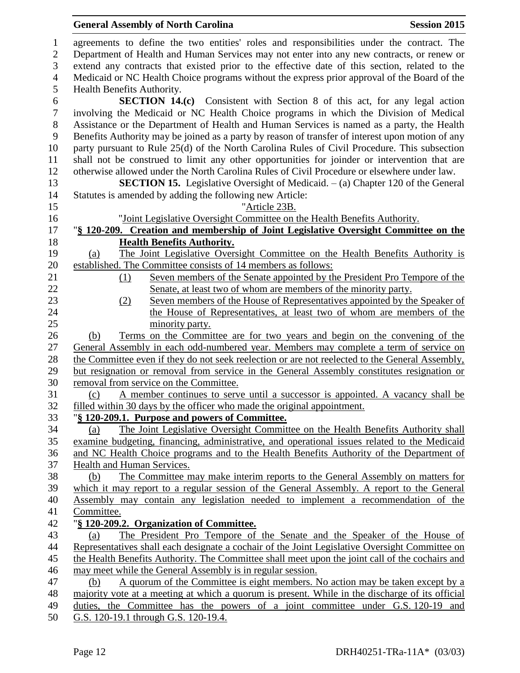# **General Assembly of North Carolina Session 2015**

| 1                | agreements to define the two entities' roles and responsibilities under the contract. The                                 |
|------------------|---------------------------------------------------------------------------------------------------------------------------|
| $\overline{2}$   | Department of Health and Human Services may not enter into any new contracts, or renew or                                 |
| 3                | extend any contracts that existed prior to the effective date of this section, related to the                             |
| $\overline{4}$   | Medicaid or NC Health Choice programs without the express prior approval of the Board of the                              |
| 5                | Health Benefits Authority.                                                                                                |
| 6                | <b>SECTION 14.(c)</b> Consistent with Section 8 of this act, for any legal action                                         |
| $\boldsymbol{7}$ | involving the Medicaid or NC Health Choice programs in which the Division of Medical                                      |
| $8\,$            | Assistance or the Department of Health and Human Services is named as a party, the Health                                 |
| 9                | Benefits Authority may be joined as a party by reason of transfer of interest upon motion of any                          |
| 10               | party pursuant to Rule 25(d) of the North Carolina Rules of Civil Procedure. This subsection                              |
| 11               | shall not be construed to limit any other opportunities for joinder or intervention that are                              |
| 12               | otherwise allowed under the North Carolina Rules of Civil Procedure or elsewhere under law.                               |
| 13               | <b>SECTION 15.</b> Legislative Oversight of Medicaid. $-$ (a) Chapter 120 of the General                                  |
| 14               | Statutes is amended by adding the following new Article:                                                                  |
| 15               | "Article 23B.                                                                                                             |
| 16               | "Joint Legislative Oversight Committee on the Health Benefits Authority.                                                  |
| 17<br>18         | "§ 120-209. Creation and membership of Joint Legislative Oversight Committee on the                                       |
| 19               | <b>Health Benefits Authority.</b><br>The Joint Legislative Oversight Committee on the Health Benefits Authority is<br>(a) |
| 20               | established. The Committee consists of 14 members as follows:                                                             |
| 21               | Seven members of the Senate appointed by the President Pro Tempore of the<br>(1)                                          |
| 22               | Senate, at least two of whom are members of the minority party.                                                           |
| 23               | Seven members of the House of Representatives appointed by the Speaker of<br>(2)                                          |
| 24               | the House of Representatives, at least two of whom are members of the                                                     |
| 25               | minority party.                                                                                                           |
| 26               | Terms on the Committee are for two years and begin on the convening of the<br>(b)                                         |
| 27               | General Assembly in each odd-numbered year. Members may complete a term of service on                                     |
| 28               | the Committee even if they do not seek reelection or are not reelected to the General Assembly,                           |
| 29               | but resignation or removal from service in the General Assembly constitutes resignation or                                |
| 30               | removal from service on the Committee.                                                                                    |
| 31               | A member continues to serve until a successor is appointed. A vacancy shall be<br>(c)                                     |
| 32               | filled within 30 days by the officer who made the original appointment.                                                   |
| 33               | "§ 120-209.1. Purpose and powers of Committee.                                                                            |
| 34               | The Joint Legislative Oversight Committee on the Health Benefits Authority shall<br>(a)                                   |
| 35               | examine budgeting, financing, administrative, and operational issues related to the Medicaid                              |
| 36               | and NC Health Choice programs and to the Health Benefits Authority of the Department of                                   |
| 37               | Health and Human Services.                                                                                                |
| 38               | The Committee may make interim reports to the General Assembly on matters for<br>(b)                                      |
| 39               | which it may report to a regular session of the General Assembly. A report to the General                                 |
| 40               | Assembly may contain any legislation needed to implement a recommendation of the                                          |
| 41               | Committee.                                                                                                                |
| 42               | "§ 120-209.2. Organization of Committee.                                                                                  |
| 43               | The President Pro Tempore of the Senate and the Speaker of the House of<br>(a)                                            |
| 44               | Representatives shall each designate a cochair of the Joint Legislative Oversight Committee on                            |
| 45               | the Health Benefits Authority. The Committee shall meet upon the joint call of the cochairs and                           |
| 46               | may meet while the General Assembly is in regular session.                                                                |
| 47               | A quorum of the Committee is eight members. No action may be taken except by a<br>(b)                                     |
| 48               | majority vote at a meeting at which a quorum is present. While in the discharge of its official                           |
| 49               | duties, the Committee has the powers of a joint committee under G.S. 120-19 and                                           |
| 50               | G.S. 120-19.1 through G.S. 120-19.4.                                                                                      |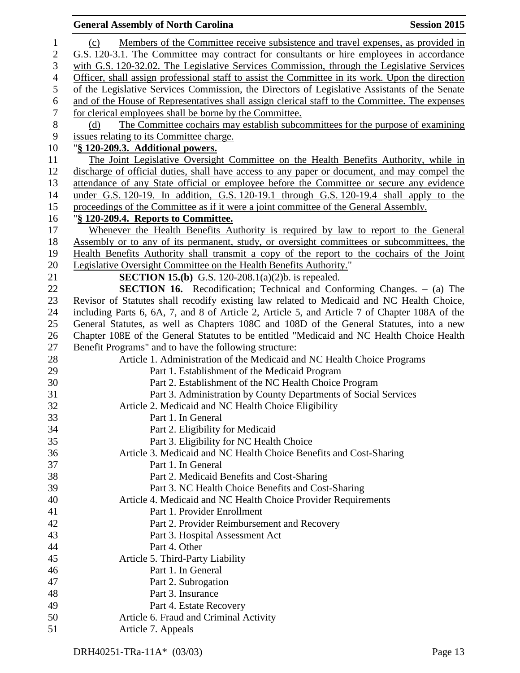|                  | <b>General Assembly of North Carolina</b><br><b>Session 2015</b>                                 |
|------------------|--------------------------------------------------------------------------------------------------|
| $\mathbf{1}$     | Members of the Committee receive subsistence and travel expenses, as provided in<br>(c)          |
| $\mathbf{2}$     | G.S. 120-3.1. The Committee may contract for consultants or hire employees in accordance         |
| 3                | with G.S. 120-32.02. The Legislative Services Commission, through the Legislative Services       |
| $\overline{4}$   | Officer, shall assign professional staff to assist the Committee in its work. Upon the direction |
| 5                | of the Legislative Services Commission, the Directors of Legislative Assistants of the Senate    |
| $\boldsymbol{6}$ | and of the House of Representatives shall assign clerical staff to the Committee. The expenses   |
| $\boldsymbol{7}$ | for clerical employees shall be borne by the Committee.                                          |
| $\, 8$           | The Committee cochairs may establish subcommittees for the purpose of examining<br>(d)           |
| 9                | issues relating to its Committee charge.                                                         |
| 10               | "§ 120-209.3. Additional powers.                                                                 |
| 11               | The Joint Legislative Oversight Committee on the Health Benefits Authority, while in             |
| 12               | discharge of official duties, shall have access to any paper or document, and may compel the     |
| 13               | attendance of any State official or employee before the Committee or secure any evidence         |
| 14               | under G.S. 120-19. In addition, G.S. 120-19.1 through G.S. 120-19.4 shall apply to the           |
| 15               | proceedings of the Committee as if it were a joint committee of the General Assembly.            |
| 16               | "§ 120-209.4. Reports to Committee.                                                              |
| 17               | Whenever the Health Benefits Authority is required by law to report to the General               |
| 18               | Assembly or to any of its permanent, study, or oversight committees or subcommittees, the        |
| 19               | Health Benefits Authority shall transmit a copy of the report to the cochairs of the Joint       |
| 20               | Legislative Oversight Committee on the Health Benefits Authority."                               |
| 21               | <b>SECTION 15.(b)</b> G.S. 120-208.1(a)(2)b. is repealed.                                        |
| 22               | <b>SECTION 16.</b> Recodification; Technical and Conforming Changes. - (a) The                   |
| 23               | Revisor of Statutes shall recodify existing law related to Medicaid and NC Health Choice,        |
| 24               | including Parts 6, 6A, 7, and 8 of Article 2, Article 5, and Article 7 of Chapter 108A of the    |
| 25               | General Statutes, as well as Chapters 108C and 108D of the General Statutes, into a new          |
| 26               | Chapter 108E of the General Statutes to be entitled "Medicaid and NC Health Choice Health        |
| 27               | Benefit Programs" and to have the following structure:                                           |
| 28               | Article 1. Administration of the Medicaid and NC Health Choice Programs                          |
| 29               | Part 1. Establishment of the Medicaid Program                                                    |
| 30               | Part 2. Establishment of the NC Health Choice Program                                            |
| 31               | Part 3. Administration by County Departments of Social Services                                  |
| 32               | Article 2. Medicaid and NC Health Choice Eligibility                                             |
| 33               | Part 1. In General                                                                               |
| 34               | Part 2. Eligibility for Medicaid                                                                 |
| 35               | Part 3. Eligibility for NC Health Choice                                                         |
| 36               | Article 3. Medicaid and NC Health Choice Benefits and Cost-Sharing                               |
| 37               | Part 1. In General                                                                               |
| 38               | Part 2. Medicaid Benefits and Cost-Sharing                                                       |
| 39               | Part 3. NC Health Choice Benefits and Cost-Sharing                                               |
| 40               | Article 4. Medicaid and NC Health Choice Provider Requirements                                   |
| 41               | Part 1. Provider Enrollment                                                                      |
| 42               | Part 2. Provider Reimbursement and Recovery                                                      |
| 43               | Part 3. Hospital Assessment Act                                                                  |
| 44               | Part 4. Other                                                                                    |
| 45               | Article 5. Third-Party Liability                                                                 |
| 46               | Part 1. In General                                                                               |
| 47               | Part 2. Subrogation                                                                              |
| 48               | Part 3. Insurance                                                                                |
| 49               | Part 4. Estate Recovery                                                                          |
| 50               | Article 6. Fraud and Criminal Activity                                                           |
| 51               | Article 7. Appeals                                                                               |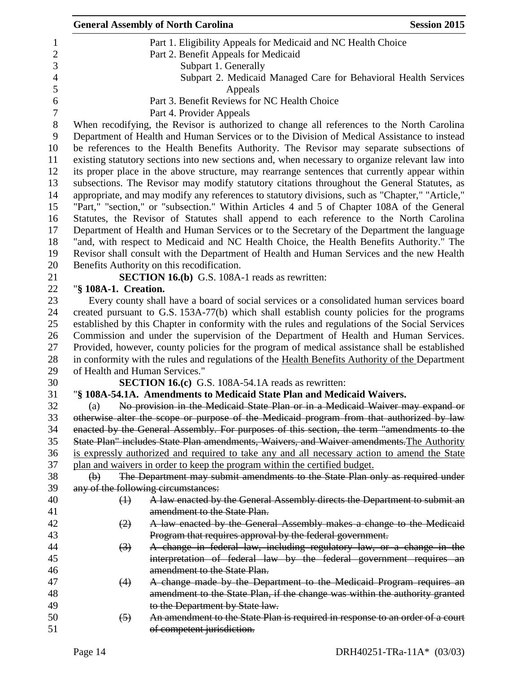|                                                                                                                                                                                                | <b>General Assembly of North Carolina</b>                                                       | <b>Session 2015</b> |  |  |  |
|------------------------------------------------------------------------------------------------------------------------------------------------------------------------------------------------|-------------------------------------------------------------------------------------------------|---------------------|--|--|--|
|                                                                                                                                                                                                | Part 1. Eligibility Appeals for Medicaid and NC Health Choice                                   |                     |  |  |  |
|                                                                                                                                                                                                | Part 2. Benefit Appeals for Medicaid                                                            |                     |  |  |  |
|                                                                                                                                                                                                | Subpart 1. Generally                                                                            |                     |  |  |  |
|                                                                                                                                                                                                | Subpart 2. Medicaid Managed Care for Behavioral Health Services                                 |                     |  |  |  |
|                                                                                                                                                                                                | Appeals                                                                                         |                     |  |  |  |
|                                                                                                                                                                                                | Part 3. Benefit Reviews for NC Health Choice                                                    |                     |  |  |  |
|                                                                                                                                                                                                | Part 4. Provider Appeals                                                                        |                     |  |  |  |
|                                                                                                                                                                                                | When recodifying, the Revisor is authorized to change all references to the North Carolina      |                     |  |  |  |
|                                                                                                                                                                                                | Department of Health and Human Services or to the Division of Medical Assistance to instead     |                     |  |  |  |
|                                                                                                                                                                                                | be references to the Health Benefits Authority. The Revisor may separate subsections of         |                     |  |  |  |
|                                                                                                                                                                                                | existing statutory sections into new sections and, when necessary to organize relevant law into |                     |  |  |  |
|                                                                                                                                                                                                | its proper place in the above structure, may rearrange sentences that currently appear within   |                     |  |  |  |
|                                                                                                                                                                                                | subsections. The Revisor may modify statutory citations throughout the General Statutes, as     |                     |  |  |  |
|                                                                                                                                                                                                |                                                                                                 |                     |  |  |  |
| appropriate, and may modify any references to statutory divisions, such as "Chapter," "Article,"<br>"Part," "section," or "subsection." Within Articles 4 and 5 of Chapter 108A of the General |                                                                                                 |                     |  |  |  |
|                                                                                                                                                                                                | Statutes, the Revisor of Statutes shall append to each reference to the North Carolina          |                     |  |  |  |
|                                                                                                                                                                                                | Department of Health and Human Services or to the Secretary of the Department the language      |                     |  |  |  |
|                                                                                                                                                                                                | "and, with respect to Medicaid and NC Health Choice, the Health Benefits Authority." The        |                     |  |  |  |
|                                                                                                                                                                                                | Revisor shall consult with the Department of Health and Human Services and the new Health       |                     |  |  |  |
|                                                                                                                                                                                                | Benefits Authority on this recodification.                                                      |                     |  |  |  |
|                                                                                                                                                                                                | <b>SECTION 16.(b)</b> G.S. 108A-1 reads as rewritten:                                           |                     |  |  |  |
| "§ 108A-1. Creation.                                                                                                                                                                           |                                                                                                 |                     |  |  |  |
|                                                                                                                                                                                                | Every county shall have a board of social services or a consolidated human services board       |                     |  |  |  |
|                                                                                                                                                                                                | created pursuant to G.S. 153A-77(b) which shall establish county policies for the programs      |                     |  |  |  |
| established by this Chapter in conformity with the rules and regulations of the Social Services                                                                                                |                                                                                                 |                     |  |  |  |
|                                                                                                                                                                                                | Commission and under the supervision of the Department of Health and Human Services.            |                     |  |  |  |
| Provided, however, county policies for the program of medical assistance shall be established                                                                                                  |                                                                                                 |                     |  |  |  |
| in conformity with the rules and regulations of the Health Benefits Authority of the Department                                                                                                |                                                                                                 |                     |  |  |  |
| of Health and Human Services."                                                                                                                                                                 |                                                                                                 |                     |  |  |  |
|                                                                                                                                                                                                | <b>SECTION 16.(c)</b> G.S. 108A-54.1A reads as rewritten:                                       |                     |  |  |  |
|                                                                                                                                                                                                | "§ 108A-54.1A. Amendments to Medicaid State Plan and Medicaid Waivers.                          |                     |  |  |  |
| (a)                                                                                                                                                                                            | No provision in the Medicaid State Plan or in a Medicaid Waiver may expand or                   |                     |  |  |  |
|                                                                                                                                                                                                | otherwise alter the scope or purpose of the Medicaid program from that authorized by law        |                     |  |  |  |
|                                                                                                                                                                                                | enacted by the General Assembly. For purposes of this section, the term "amendments to the      |                     |  |  |  |
|                                                                                                                                                                                                | State Plan" includes State Plan amendments, Waivers, and Waiver amendments. The Authority       |                     |  |  |  |
|                                                                                                                                                                                                | is expressly authorized and required to take any and all necessary action to amend the State    |                     |  |  |  |
|                                                                                                                                                                                                | plan and waivers in order to keep the program within the certified budget.                      |                     |  |  |  |
| $\bigoplus$                                                                                                                                                                                    | The Department may submit amendments to the State Plan only as required under                   |                     |  |  |  |
|                                                                                                                                                                                                | any of the following circumstances:                                                             |                     |  |  |  |
| $\leftrightarrow$                                                                                                                                                                              | A law enacted by the General Assembly directs the Department to submit an                       |                     |  |  |  |
|                                                                                                                                                                                                | amendment to the State Plan.                                                                    |                     |  |  |  |
| (2)                                                                                                                                                                                            | A law enacted by the General Assembly makes a change to the Medicaid                            |                     |  |  |  |
|                                                                                                                                                                                                | Program that requires approval by the federal government.                                       |                     |  |  |  |
| $\left(3\right)$                                                                                                                                                                               | A change in federal law, including regulatory law, or a change in the                           |                     |  |  |  |
|                                                                                                                                                                                                | interpretation of federal law by the federal government requires an                             |                     |  |  |  |
|                                                                                                                                                                                                | amendment to the State Plan.                                                                    |                     |  |  |  |
| (4)                                                                                                                                                                                            | A change made by the Department to the Medicaid Program requires an                             |                     |  |  |  |
|                                                                                                                                                                                                | amendment to the State Plan, if the change was within the authority granted                     |                     |  |  |  |
|                                                                                                                                                                                                | to the Department by State law.                                                                 |                     |  |  |  |
| (5)                                                                                                                                                                                            | An amendment to the State Plan is required in response to an order of a court                   |                     |  |  |  |
|                                                                                                                                                                                                | of competent jurisdiction.                                                                      |                     |  |  |  |
|                                                                                                                                                                                                |                                                                                                 |                     |  |  |  |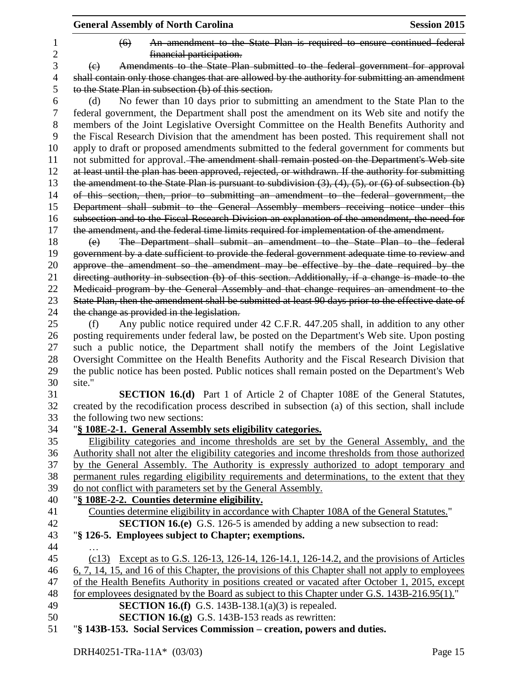|                     | <b>General Assembly of North Carolina</b>                                                                                                                                                        | <b>Session 2015</b> |
|---------------------|--------------------------------------------------------------------------------------------------------------------------------------------------------------------------------------------------|---------------------|
| 1<br>$\overline{2}$ | An amendment to the State Plan is required to ensure continued federal<br>$\left( 6 \right)$<br>financial participation.                                                                         |                     |
| 3                   | Amendments to the State Plan submitted to the federal government for approval<br>(e)                                                                                                             |                     |
| 4                   | shall contain only those changes that are allowed by the authority for submitting an amendment                                                                                                   |                     |
| 5                   | to the State Plan in subsection (b) of this section.                                                                                                                                             |                     |
| 6                   | No fewer than 10 days prior to submitting an amendment to the State Plan to the<br>(d)                                                                                                           |                     |
| 7                   | federal government, the Department shall post the amendment on its Web site and notify the                                                                                                       |                     |
| 8<br>9              | members of the Joint Legislative Oversight Committee on the Health Benefits Authority and<br>the Fiscal Research Division that the amendment has been posted. This requirement shall not         |                     |
| 10                  | apply to draft or proposed amendments submitted to the federal government for comments but                                                                                                       |                     |
| 11<br>12            | not submitted for approval. The amendment shall remain posted on the Department's Web site<br>at least until the plan has been approved, rejected, or withdrawn. If the authority for submitting |                     |
| 13                  | the amendment to the State Plan is pursuant to subdivision $(3)$ , $(4)$ , $(5)$ , or $(6)$ of subsection $(b)$                                                                                  |                     |
| 14                  | of this section, then, prior to submitting an amendment to the federal government, the                                                                                                           |                     |
| 15                  | Department shall submit to the General Assembly members receiving notice under this                                                                                                              |                     |
| 16                  | subsection and to the Fiscal Research Division an explanation of the amendment, the need for                                                                                                     |                     |
| 17                  | the amendment, and the federal time limits required for implementation of the amendment.                                                                                                         |                     |
| 18                  | The Department shall submit an amendment to the State Plan to the federal<br>(e)                                                                                                                 |                     |
| 19                  | government by a date sufficient to provide the federal government adequate time to review and                                                                                                    |                     |
| 20                  | approve the amendment so the amendment may be effective by the date required by the                                                                                                              |                     |
| 21<br>22            | directing authority in subsection (b) of this section. Additionally, if a change is made to the                                                                                                  |                     |
| 23                  | Medicaid program by the General Assembly and that change requires an amendment to the<br>State Plan, then the amendment shall be submitted at least 90 days prior to the effective date of       |                     |
| 24                  | the change as provided in the legislation.                                                                                                                                                       |                     |
| 25                  | Any public notice required under 42 C.F.R. 447.205 shall, in addition to any other<br>(f)                                                                                                        |                     |
| 26                  | posting requirements under federal law, be posted on the Department's Web site. Upon posting                                                                                                     |                     |
| 27                  | such a public notice, the Department shall notify the members of the Joint Legislative                                                                                                           |                     |
| 28                  | Oversight Committee on the Health Benefits Authority and the Fiscal Research Division that                                                                                                       |                     |
| 29                  | the public notice has been posted. Public notices shall remain posted on the Department's Web                                                                                                    |                     |
| 30                  | site."                                                                                                                                                                                           |                     |
| 31                  | <b>SECTION 16.(d)</b> Part 1 of Article 2 of Chapter 108E of the General Statutes,                                                                                                               |                     |
| 32                  | created by the recodification process described in subsection (a) of this section, shall include                                                                                                 |                     |
| 33                  | the following two new sections:                                                                                                                                                                  |                     |
| 34                  | "§ 108E-2-1. General Assembly sets eligibility categories.                                                                                                                                       |                     |
| 35                  | Eligibility categories and income thresholds are set by the General Assembly, and the                                                                                                            |                     |
| 36                  | Authority shall not alter the eligibility categories and income thresholds from those authorized                                                                                                 |                     |
| 37                  | by the General Assembly. The Authority is expressly authorized to adopt temporary and                                                                                                            |                     |
| 38                  | permanent rules regarding eligibility requirements and determinations, to the extent that they                                                                                                   |                     |
| 39                  | do not conflict with parameters set by the General Assembly.                                                                                                                                     |                     |
| 40                  | "§ 108E-2-2. Counties determine eligibility.                                                                                                                                                     |                     |
| 41                  | Counties determine eligibility in accordance with Chapter 108A of the General Statutes."                                                                                                         |                     |
| 42                  | <b>SECTION 16.(e)</b> G.S. 126-5 is amended by adding a new subsection to read:                                                                                                                  |                     |
| 43                  | "§ 126-5. Employees subject to Chapter; exemptions.                                                                                                                                              |                     |
| 44                  |                                                                                                                                                                                                  |                     |
| 45                  | (c13) Except as to G.S. 126-13, 126-14, 126-14.1, 126-14.2, and the provisions of Articles                                                                                                       |                     |
| 46                  | 6, 7, 14, 15, and 16 of this Chapter, the provisions of this Chapter shall not apply to employees                                                                                                |                     |
| 47                  | of the Health Benefits Authority in positions created or vacated after October 1, 2015, except                                                                                                   |                     |
| 48                  | for employees designated by the Board as subject to this Chapter under G.S. 143B-216.95(1)."                                                                                                     |                     |
| 49                  | <b>SECTION 16.(f)</b> G.S. 143B-138.1(a)(3) is repealed.                                                                                                                                         |                     |
| 50                  | <b>SECTION 16.(g)</b> G.S. 143B-153 reads as rewritten:                                                                                                                                          |                     |
| 51                  | "§ 143B-153. Social Services Commission – creation, powers and duties.                                                                                                                           |                     |